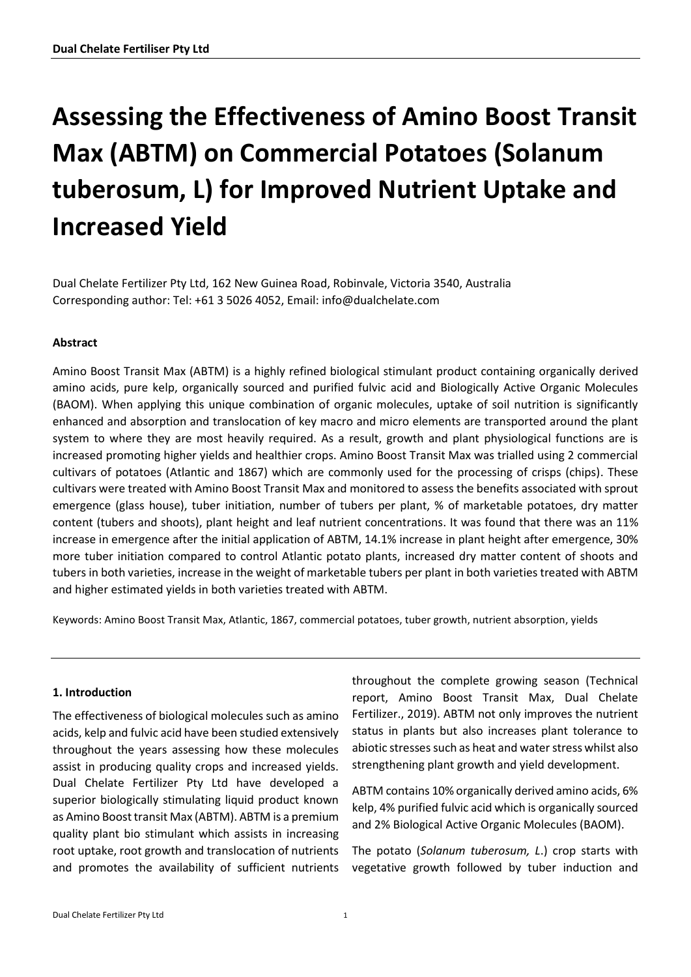# **Assessing the Effectiveness of Amino Boost Transit Max (ABTM) on Commercial Potatoes (Solanum tuberosum, L) for Improved Nutrient Uptake and Increased Yield**

Dual Chelate Fertilizer Pty Ltd, 162 New Guinea Road, Robinvale, Victoria 3540, Australia Corresponding author: Tel: +61 3 5026 4052, Email: info@dualchelate.com

### **Abstract**

Amino Boost Transit Max (ABTM) is a highly refined biological stimulant product containing organically derived amino acids, pure kelp, organically sourced and purified fulvic acid and Biologically Active Organic Molecules (BAOM). When applying this unique combination of organic molecules, uptake of soil nutrition is significantly enhanced and absorption and translocation of key macro and micro elements are transported around the plant system to where they are most heavily required. As a result, growth and plant physiological functions are is increased promoting higher yields and healthier crops. Amino Boost Transit Max was trialled using 2 commercial cultivars of potatoes (Atlantic and 1867) which are commonly used for the processing of crisps (chips). These cultivars were treated with Amino Boost Transit Max and monitored to assess the benefits associated with sprout emergence (glass house), tuber initiation, number of tubers per plant, % of marketable potatoes, dry matter content (tubers and shoots), plant height and leaf nutrient concentrations. It was found that there was an 11% increase in emergence after the initial application of ABTM, 14.1% increase in plant height after emergence, 30% more tuber initiation compared to control Atlantic potato plants, increased dry matter content of shoots and tubers in both varieties, increase in the weight of marketable tubers per plant in both varieties treated with ABTM and higher estimated yields in both varieties treated with ABTM.

Keywords: Amino Boost Transit Max, Atlantic, 1867, commercial potatoes, tuber growth, nutrient absorption, yields

### **1. Introduction**

The effectiveness of biological molecules such as amino acids, kelp and fulvic acid have been studied extensively throughout the years assessing how these molecules assist in producing quality crops and increased yields. Dual Chelate Fertilizer Pty Ltd have developed a superior biologically stimulating liquid product known as Amino Boost transit Max (ABTM). ABTM is a premium quality plant bio stimulant which assists in increasing root uptake, root growth and translocation of nutrients and promotes the availability of sufficient nutrients

throughout the complete growing season (Technical report, Amino Boost Transit Max, Dual Chelate Fertilizer., 2019). ABTM not only improves the nutrient status in plants but also increases plant tolerance to abiotic stresses such as heat and water stress whilst also strengthening plant growth and yield development.

ABTM contains 10% organically derived amino acids, 6% kelp, 4% purified fulvic acid which is organically sourced and 2% Biological Active Organic Molecules (BAOM).

The potato (*Solanum tuberosum, L*.) crop starts with vegetative growth followed by tuber induction and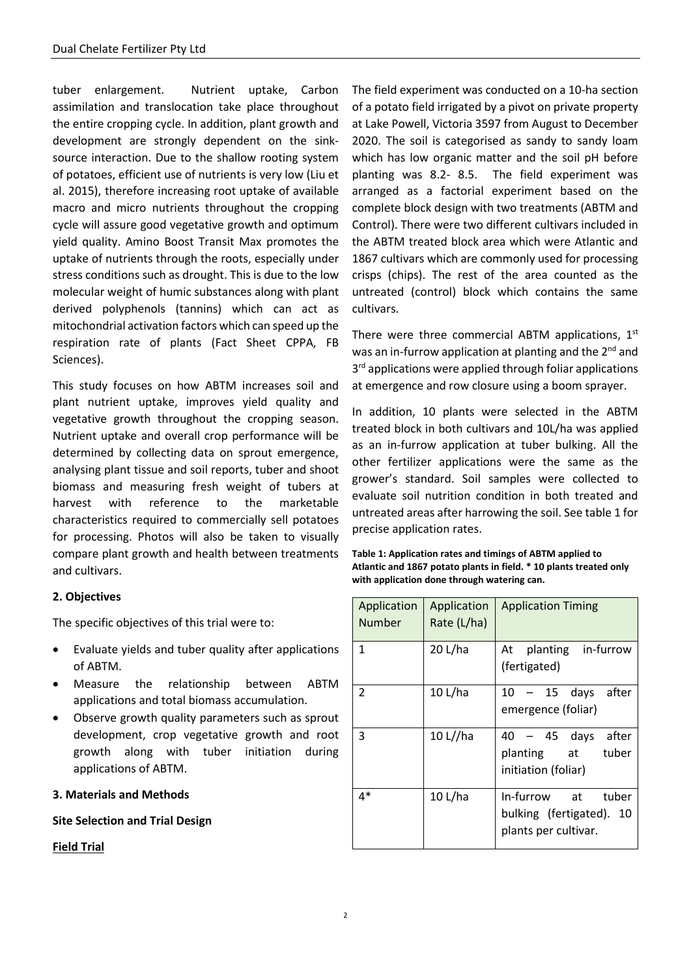tuber enlargement. Nutrient uptake, Carbon assimilation and translocation take place throughout the entire cropping cycle. In addition, plant growth and development are strongly dependent on the sinksource interaction. Due to the shallow rooting system of potatoes, efficient use of nutrients is very low (Liu et al. 2015), therefore increasing root uptake of available macro and micro nutrients throughout the cropping cycle will assure good vegetative growth and optimum yield quality. Amino Boost Transit Max promotes the uptake of nutrients through the roots, especially under stress conditions such as drought. This is due to the low molecular weight of humic substances along with plant derived polyphenols (tannins) which can act as mitochondrial activation factors which can speed up the respiration rate of plants (Fact Sheet CPPA, FB Sciences).

This study focuses on how ABTM increases soil and plant nutrient uptake, improves yield quality and vegetative growth throughout the cropping season. Nutrient uptake and overall crop performance will be determined by collecting data on sprout emergence, analysing plant tissue and soil reports, tuber and shoot biomass and measuring fresh weight of tubers at harvest with reference to the marketable characteristics required to commercially sell potatoes for processing. Photos will also be taken to visually compare plant growth and health between treatments and cultivars.

### **2. Objectives**

The specific objectives of this trial were to:

- Evaluate yields and tuber quality after applications of ABTM.
- Measure the relationship between ABTM applications and total biomass accumulation.
- Observe growth quality parameters such as sprout development, crop vegetative growth and root growth along with tuber initiation during applications of ABTM.

### **3. Materials and Methods**

### **Site Selection and Trial Design**

### **Field Trial**

The field experiment was conducted on a 10-ha section of a potato field irrigated by a pivot on private property at Lake Powell, Victoria 3597 from August to December 2020. The soil is categorised as sandy to sandy loam which has low organic matter and the soil pH before planting was 8.2- 8.5. The field experiment was arranged as a factorial experiment based on the complete block design with two treatments (ABTM and Control). There were two different cultivars included in the ABTM treated block area which were Atlantic and 1867 cultivars which are commonly used for processing crisps (chips). The rest of the area counted as the untreated (control) block which contains the same cultivars.

There were three commercial ABTM applications,  $1<sup>st</sup>$ was an in-furrow application at planting and the 2<sup>nd</sup> and 3<sup>rd</sup> applications were applied through foliar applications at emergence and row closure using a boom sprayer.

In addition, 10 plants were selected in the ABTM treated block in both cultivars and 10L/ha was applied as an in-furrow application at tuber bulking. All the other fertilizer applications were the same as the grower's standard. Soil samples were collected to evaluate soil nutrition condition in both treated and untreated areas after harrowing the soil. See table 1 for precise application rates.

**Table 1: Application rates and timings of ABTM applied to Atlantic and 1867 potato plants in field. \* 10 plants treated only with application done through watering can.** 

| Application<br>Number    | Application<br>Rate (L/ha) | <b>Application Timing</b>                                                 |
|--------------------------|----------------------------|---------------------------------------------------------------------------|
| 1                        | 20 L/ha                    | At planting in-furrow<br>(fertigated)                                     |
| $\overline{\phantom{a}}$ | 10 L/ha                    | - 15 days after<br>10 -<br>emergence (foliar)                             |
| 3                        | 10 L//ha                   | 40 - 45 days<br>after<br>planting at<br>tuber<br>initiation (foliar)      |
| $4*$                     | 10 L/ha                    | In-furrow at<br>tuber<br>bulking (fertigated). 10<br>plants per cultivar. |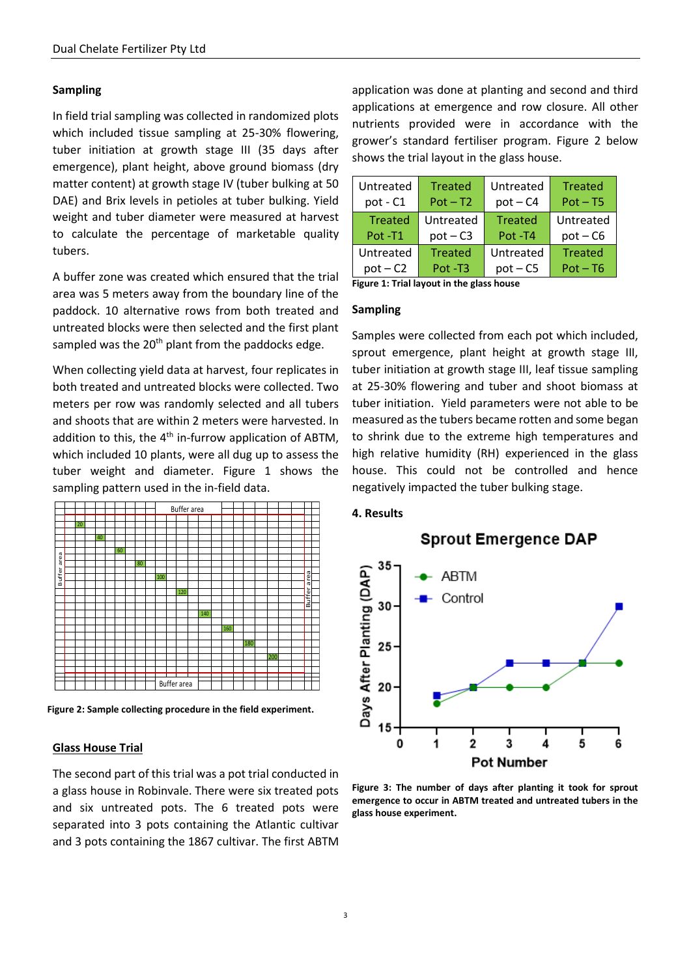### **Sampling**

In field trial sampling was collected in randomized plots which included tissue sampling at 25-30% flowering, tuber initiation at growth stage III (35 days after emergence), plant height, above ground biomass (dry matter content) at growth stage IV (tuber bulking at 50 DAE) and Brix levels in petioles at tuber bulking. Yield weight and tuber diameter were measured at harvest to calculate the percentage of marketable quality tubers.

A buffer zone was created which ensured that the trial area was 5 meters away from the boundary line of the paddock. 10 alternative rows from both treated and untreated blocks were then selected and the first plant sampled was the  $20<sup>th</sup>$  plant from the paddocks edge.

When collecting yield data at harvest, four replicates in both treated and untreated blocks were collected. Two meters per row was randomly selected and all tubers and shoots that are within 2 meters were harvested. In addition to this, the  $4<sup>th</sup>$  in-furrow application of ABTM, which included 10 plants, were all dug up to assess the tuber weight and diameter. Figure 1 shows the sampling pattern used in the in-field data.



**Figure 2: Sample collecting procedure in the field experiment.**

#### **Glass House Trial**

The second part of this trial was a pot trial conducted in a glass house in Robinvale. There were six treated pots and six untreated pots. The 6 treated pots were separated into 3 pots containing the Atlantic cultivar and 3 pots containing the 1867 cultivar. The first ABTM

application was done at planting and second and third applications at emergence and row closure. All other nutrients provided were in accordance with the grower's standard fertiliser program. Figure 2 below shows the trial layout in the glass house.

| Untreated      | <b>Treated</b> | Untreated      | <b>Treated</b> |
|----------------|----------------|----------------|----------------|
| pot - C1       | $Pot - T2$     | $pot - C4$     | $Pot - T5$     |
| <b>Treated</b> | Untreated      | <b>Treated</b> | Untreated      |
| Pot-T1         | $pot - C3$     | Pot-T4         | $pot - C6$     |
| Untreated      | Treated        | Untreated      | <b>Treated</b> |
| $pot - C2$     | Pot-T3         | $pot - C5$     | $Pot - T6$     |

**Figure 1: Trial layout in the glass house**

### **Sampling**

Samples were collected from each pot which included, sprout emergence, plant height at growth stage III, tuber initiation at growth stage III, leaf tissue sampling at 25-30% flowering and tuber and shoot biomass at tuber initiation. Yield parameters were not able to be measured as the tubers became rotten and some began to shrink due to the extreme high temperatures and high relative humidity (RH) experienced in the glass house. This could not be controlled and hence negatively impacted the tuber bulking stage.

### **4. Results**

**Sprout Emergence DAP** 



**Figure 3: The number of days after planting it took for sprout emergence to occur in ABTM treated and untreated tubers in the glass house experiment.**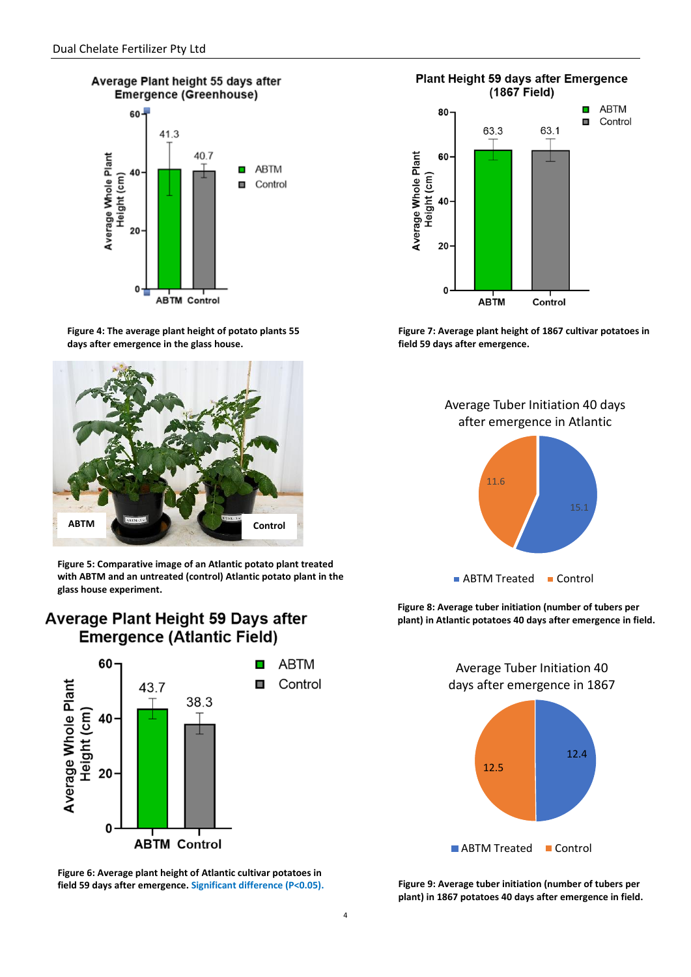

**Figure 4: The average plant height of potato plants 55 days after emergence in the glass house.** 



**Figure 5: Comparative image of an Atlantic potato plant treated with ABTM and an untreated (control) Atlantic potato plant in the glass house experiment.**

### Average Plant Height 59 Days after **Emergence (Atlantic Field)**



**Figure 6: Average plant height of Atlantic cultivar potatoes in field 59 days after emergence. Significant difference (P<0.05).**

Plant Height 59 days after Emergence (1867 Field)



**Figure 7: Average plant height of 1867 cultivar potatoes in field 59 days after emergence.**



**Figure 8: Average tuber initiation (number of tubers per plant) in Atlantic potatoes 40 days after emergence in field.**

> 12.4 12.5 Average Tuber Initiation 40 days after emergence in 1867 **ABTM Treated Control**

**Figure 9: Average tuber initiation (number of tubers per plant) in 1867 potatoes 40 days after emergence in field.**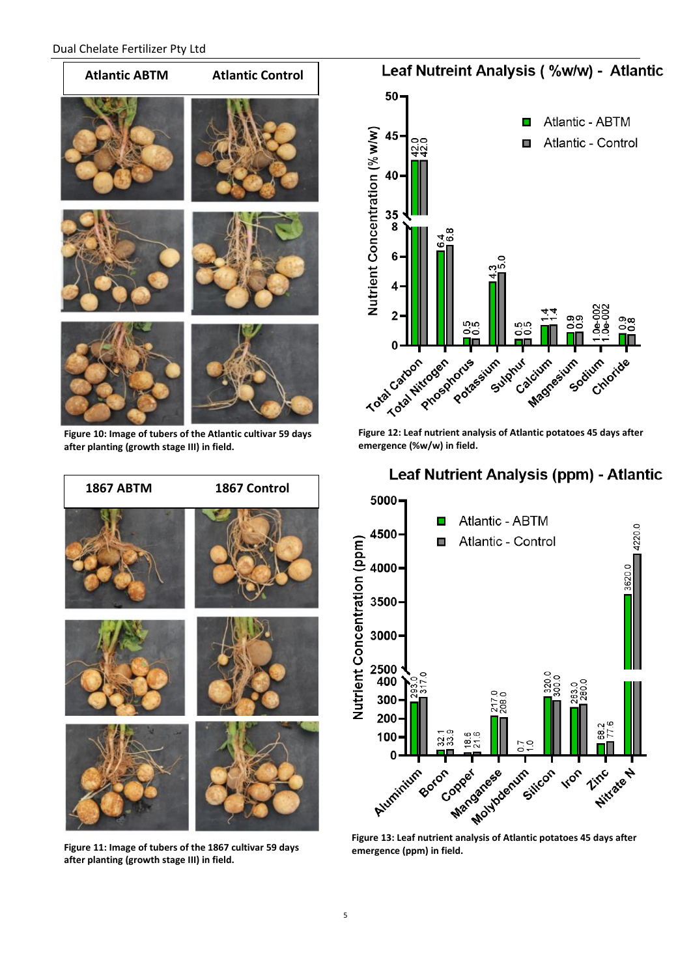

**Figure 10: Image of tubers of the Atlantic cultivar 59 days after planting (growth stage III) in field.**



**Figure 11: Image of tubers of the 1867 cultivar 59 days after planting (growth stage III) in field.**



**emergence (%w/w) in field.**

### Leaf Nutrient Analysis (ppm) - Atlantic



**Figure 13: Leaf nutrient analysis of Atlantic potatoes 45 days after emergence (ppm) in field.**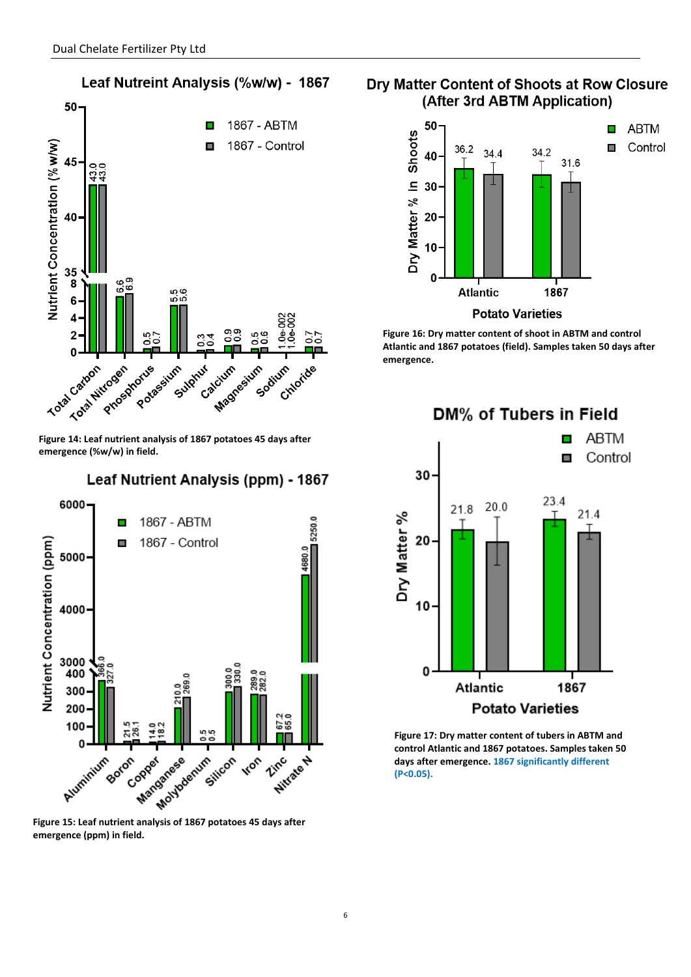

**Figure 14: Leaf nutrient analysis of 1867 potatoes 45 days after emergence (%w/w) in field.** 

### Leaf Nutrient Analysis (ppm) - 1867



**emergence (ppm) in field.** 

### Dry Matter Content of Shoots at Row Closure (After 3rd ABTM Application)



**Figure 16: Dry matter content of shoot in ABTM and control Atlantic and 1867 potatoes (field). Samples taken 50 days after emergence.** 

DM% of Tubers in Field

**ABTM** п Control п 30 23.4  $20.0$ 21.8  $21.4$ Dry Matter % 20 10 0 Atlantic 1867 **Potato Varieties** 

**Figure 17: Dry matter content of tubers in ABTM and control Atlantic and 1867 potatoes. Samples taken 50 days after emergence. 1867 significantly different (P<0.05).**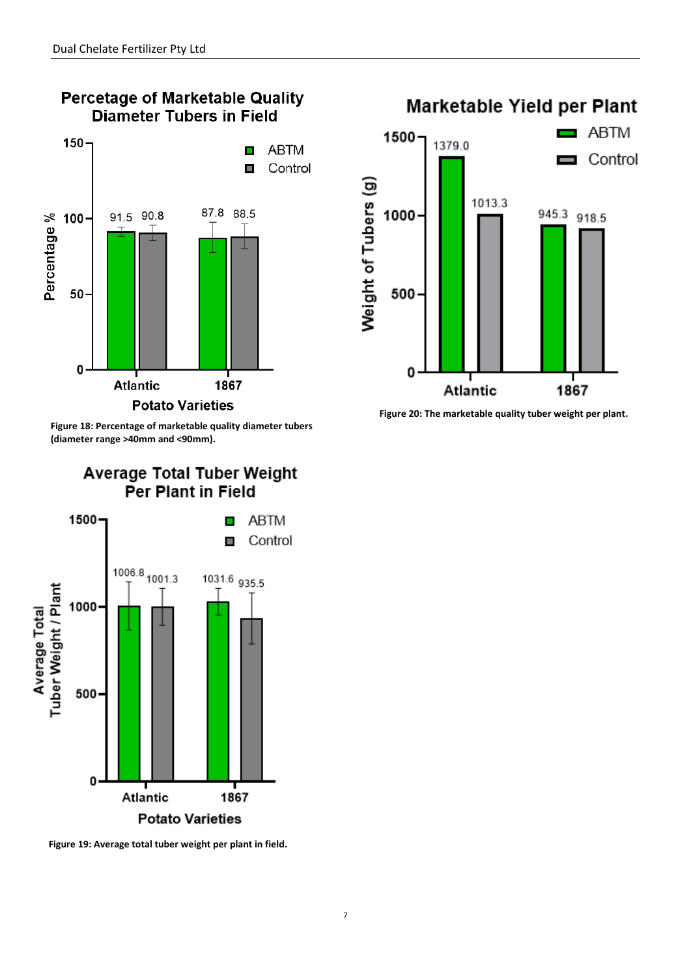

**Figure 18: Percentage of marketable quality diameter tubers (diameter range >40mm and <90mm).**

### Average Total Tuber Weight Per Plant in Field



**Figure 19: Average total tuber weight per plant in field.**

## Marketable Yield per Plant **ABTM**  $1500 -$ 1379.0 Control Weight of Tubers (g) 1013.3  $945.3$  918.5 1000 500 0

**Figure 20: The marketable quality tuber weight per plant.**

Atlantic

1867

#### 7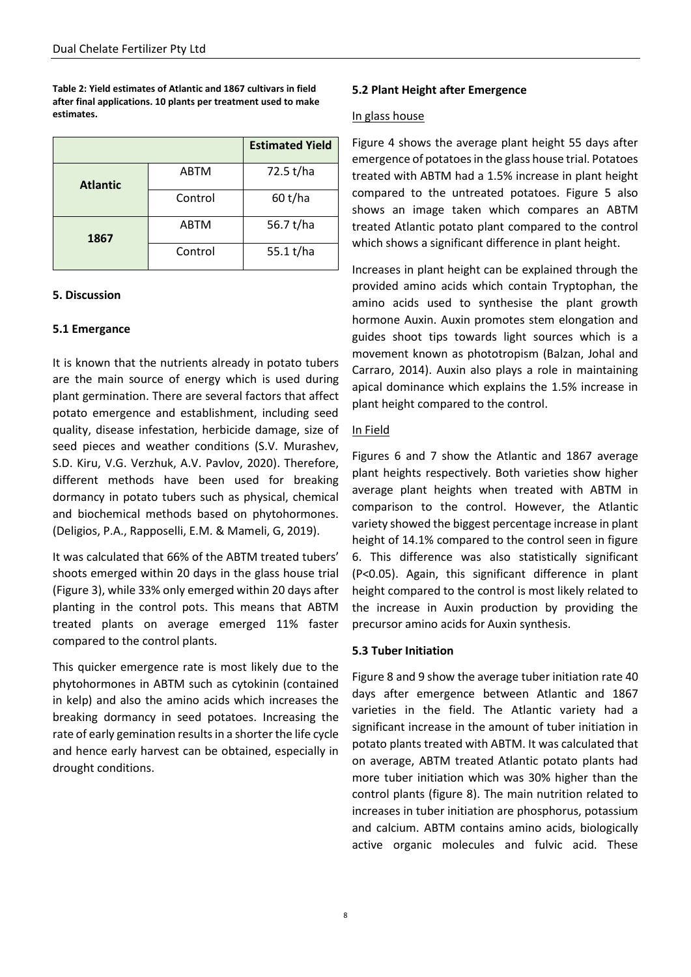**Table 2: Yield estimates of Atlantic and 1867 cultivars in field after final applications. 10 plants per treatment used to make estimates.**

|                 |             | <b>Estimated Yield</b> |
|-----------------|-------------|------------------------|
| <b>Atlantic</b> | <b>ABTM</b> | 72.5 t/ha              |
|                 | Control     | 60 t/ha                |
| 1867            | <b>ABTM</b> | 56.7 t/ha              |
|                 | Control     | 55.1 t/ha              |

### **5. Discussion**

### **5.1 Emergance**

It is known that the nutrients already in potato tubers are the main source of energy which is used during plant germination. There are several factors that affect potato emergence and establishment, including seed quality, disease infestation, herbicide damage, size of seed pieces and weather conditions (S.V. Murashev, S.D. Kiru, V.G. Verzhuk, A.V. Pavlov, 2020). Therefore, different methods have been used for breaking dormancy in potato tubers such as physical, chemical and biochemical methods based on phytohormones. (Deligios, P.A., Rapposelli, E.M. & Mameli, G, 2019).

It was calculated that 66% of the ABTM treated tubers' shoots emerged within 20 days in the glass house trial (Figure 3), while 33% only emerged within 20 days after planting in the control pots. This means that ABTM treated plants on average emerged 11% faster compared to the control plants.

This quicker emergence rate is most likely due to the phytohormones in ABTM such as cytokinin (contained in kelp) and also the amino acids which increases the breaking dormancy in seed potatoes. Increasing the rate of early gemination results in a shorter the life cycle and hence early harvest can be obtained, especially in drought conditions.

### **5.2 Plant Height after Emergence**

### In glass house

Figure 4 shows the average plant height 55 days after emergence of potatoes in the glass house trial. Potatoes treated with ABTM had a 1.5% increase in plant height compared to the untreated potatoes. Figure 5 also shows an image taken which compares an ABTM treated Atlantic potato plant compared to the control which shows a significant difference in plant height.

Increases in plant height can be explained through the provided amino acids which contain Tryptophan, the amino acids used to synthesise the plant growth hormone Auxin. Auxin promotes stem elongation and guides shoot tips towards light sources which is a movement known as phototropism (Balzan, Johal and Carraro, 2014). Auxin also plays a role in maintaining apical dominance which explains the 1.5% increase in plant height compared to the control.

### In Field

Figures 6 and 7 show the Atlantic and 1867 average plant heights respectively. Both varieties show higher average plant heights when treated with ABTM in comparison to the control. However, the Atlantic variety showed the biggest percentage increase in plant height of 14.1% compared to the control seen in figure 6. This difference was also statistically significant (P<0.05). Again, this significant difference in plant height compared to the control is most likely related to the increase in Auxin production by providing the precursor amino acids for Auxin synthesis.

### **5.3 Tuber Initiation**

Figure 8 and 9 show the average tuber initiation rate 40 days after emergence between Atlantic and 1867 varieties in the field. The Atlantic variety had a significant increase in the amount of tuber initiation in potato plants treated with ABTM. It was calculated that on average, ABTM treated Atlantic potato plants had more tuber initiation which was 30% higher than the control plants (figure 8). The main nutrition related to increases in tuber initiation are phosphorus, potassium and calcium. ABTM contains amino acids, biologically active organic molecules and fulvic acid. These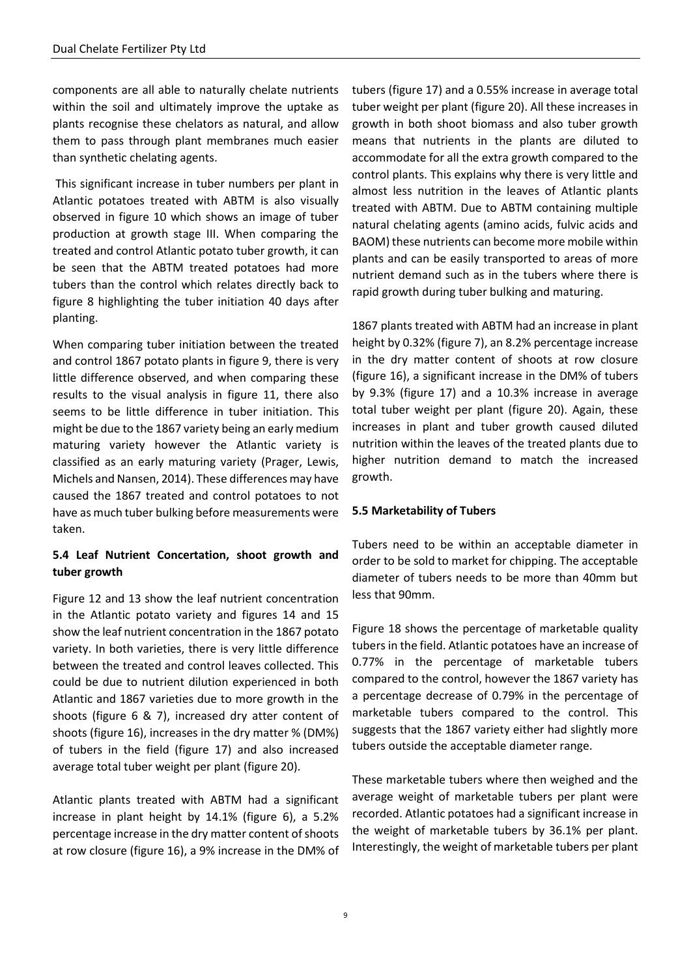components are all able to naturally chelate nutrients within the soil and ultimately improve the uptake as plants recognise these chelators as natural, and allow them to pass through plant membranes much easier than synthetic chelating agents.

This significant increase in tuber numbers per plant in Atlantic potatoes treated with ABTM is also visually observed in figure 10 which shows an image of tuber production at growth stage III. When comparing the treated and control Atlantic potato tuber growth, it can be seen that the ABTM treated potatoes had more tubers than the control which relates directly back to figure 8 highlighting the tuber initiation 40 days after planting.

When comparing tuber initiation between the treated and control 1867 potato plants in figure 9, there is very little difference observed, and when comparing these results to the visual analysis in figure 11, there also seems to be little difference in tuber initiation. This might be due to the 1867 variety being an early medium maturing variety however the Atlantic variety is classified as an early maturing variety (Prager, Lewis, Michels and Nansen, 2014). These differences may have caused the 1867 treated and control potatoes to not have as much tuber bulking before measurements were taken.

### **5.4 Leaf Nutrient Concertation, shoot growth and tuber growth**

Figure 12 and 13 show the leaf nutrient concentration in the Atlantic potato variety and figures 14 and 15 show the leaf nutrient concentration in the 1867 potato variety. In both varieties, there is very little difference between the treated and control leaves collected. This could be due to nutrient dilution experienced in both Atlantic and 1867 varieties due to more growth in the shoots (figure 6 & 7), increased dry atter content of shoots (figure 16), increases in the dry matter % (DM%) of tubers in the field (figure 17) and also increased average total tuber weight per plant (figure 20).

Atlantic plants treated with ABTM had a significant increase in plant height by 14.1% (figure 6), a 5.2% percentage increase in the dry matter content of shoots at row closure (figure 16), a 9% increase in the DM% of tubers (figure 17) and a 0.55% increase in average total tuber weight per plant (figure 20). All these increases in growth in both shoot biomass and also tuber growth means that nutrients in the plants are diluted to accommodate for all the extra growth compared to the control plants. This explains why there is very little and almost less nutrition in the leaves of Atlantic plants treated with ABTM. Due to ABTM containing multiple natural chelating agents (amino acids, fulvic acids and BAOM) these nutrients can become more mobile within plants and can be easily transported to areas of more nutrient demand such as in the tubers where there is rapid growth during tuber bulking and maturing.

1867 plants treated with ABTM had an increase in plant height by 0.32% (figure 7), an 8.2% percentage increase in the dry matter content of shoots at row closure (figure 16), a significant increase in the DM% of tubers by 9.3% (figure 17) and a 10.3% increase in average total tuber weight per plant (figure 20). Again, these increases in plant and tuber growth caused diluted nutrition within the leaves of the treated plants due to higher nutrition demand to match the increased growth.

### **5.5 Marketability of Tubers**

Tubers need to be within an acceptable diameter in order to be sold to market for chipping. The acceptable diameter of tubers needs to be more than 40mm but less that 90mm.

Figure 18 shows the percentage of marketable quality tubers in the field. Atlantic potatoes have an increase of 0.77% in the percentage of marketable tubers compared to the control, however the 1867 variety has a percentage decrease of 0.79% in the percentage of marketable tubers compared to the control. This suggests that the 1867 variety either had slightly more tubers outside the acceptable diameter range.

These marketable tubers where then weighed and the average weight of marketable tubers per plant were recorded. Atlantic potatoes had a significant increase in the weight of marketable tubers by 36.1% per plant. Interestingly, the weight of marketable tubers per plant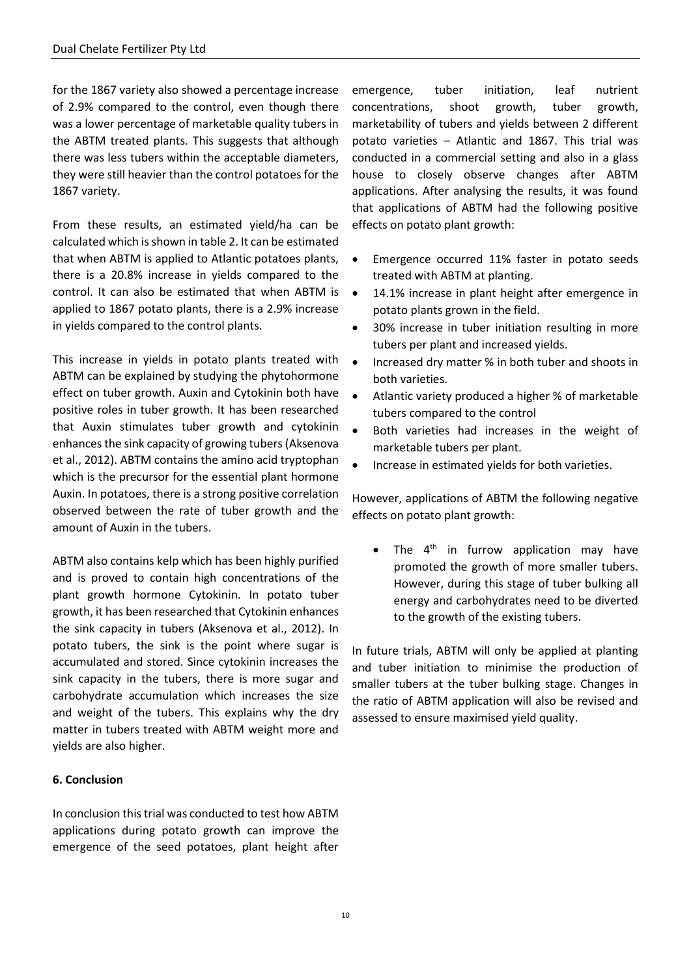for the 1867 variety also showed a percentage increase of 2.9% compared to the control, even though there was a lower percentage of marketable quality tubers in the ABTM treated plants. This suggests that although there was less tubers within the acceptable diameters, they were still heavier than the control potatoes for the 1867 variety.

From these results, an estimated yield/ha can be calculated which is shown in table 2. It can be estimated that when ABTM is applied to Atlantic potatoes plants, there is a 20.8% increase in yields compared to the control. It can also be estimated that when ABTM is applied to 1867 potato plants, there is a 2.9% increase in yields compared to the control plants.

This increase in yields in potato plants treated with ABTM can be explained by studying the phytohormone effect on tuber growth. Auxin and Cytokinin both have positive roles in tuber growth. It has been researched that Auxin stimulates tuber growth and cytokinin enhances the sink capacity of growing tubers (Aksenova et al., 2012). ABTM contains the amino acid tryptophan which is the precursor for the essential plant hormone Auxin. In potatoes, there is a strong positive correlation observed between the rate of tuber growth and the amount of Auxin in the tubers.

ABTM also contains kelp which has been highly purified and is proved to contain high concentrations of the plant growth hormone Cytokinin. In potato tuber growth, it has been researched that Cytokinin enhances the sink capacity in tubers (Aksenova et al., 2012). In potato tubers, the sink is the point where sugar is accumulated and stored. Since cytokinin increases the sink capacity in the tubers, there is more sugar and carbohydrate accumulation which increases the size and weight of the tubers. This explains why the dry matter in tubers treated with ABTM weight more and yields are also higher.

### **6. Conclusion**

In conclusion this trial was conducted to test how ABTM applications during potato growth can improve the emergence of the seed potatoes, plant height after emergence, tuber initiation, leaf nutrient concentrations, shoot growth, tuber growth, marketability of tubers and yields between 2 different potato varieties – Atlantic and 1867. This trial was conducted in a commercial setting and also in a glass house to closely observe changes after ABTM applications. After analysing the results, it was found that applications of ABTM had the following positive effects on potato plant growth:

- Emergence occurred 11% faster in potato seeds treated with ABTM at planting.
- 14.1% increase in plant height after emergence in potato plants grown in the field.
- 30% increase in tuber initiation resulting in more tubers per plant and increased yields.
- Increased dry matter % in both tuber and shoots in both varieties.
- Atlantic variety produced a higher % of marketable tubers compared to the control
- Both varieties had increases in the weight of marketable tubers per plant.
- Increase in estimated yields for both varieties.

However, applications of ABTM the following negative effects on potato plant growth:

• The 4<sup>th</sup> in furrow application may have promoted the growth of more smaller tubers. However, during this stage of tuber bulking all energy and carbohydrates need to be diverted to the growth of the existing tubers.

In future trials, ABTM will only be applied at planting and tuber initiation to minimise the production of smaller tubers at the tuber bulking stage. Changes in the ratio of ABTM application will also be revised and assessed to ensure maximised yield quality.